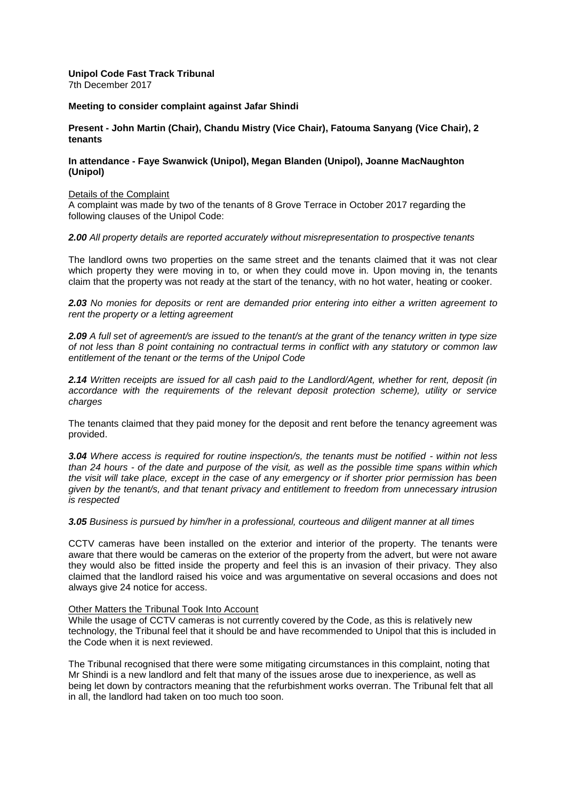### **Unipol Code Fast Track Tribunal**  7th December 2017

# **Meeting to consider complaint against Jafar Shindi**

**Present - John Martin (Chair), Chandu Mistry (Vice Chair), Fatouma Sanyang (Vice Chair), 2 tenants**

# **In attendance - Faye Swanwick (Unipol), Megan Blanden (Unipol), Joanne MacNaughton (Unipol)**

#### Details of the Complaint

A complaint was made by two of the tenants of 8 Grove Terrace in October 2017 regarding the following clauses of the Unipol Code:

#### *2.00 All property details are reported accurately without misrepresentation to prospective tenants*

The landlord owns two properties on the same street and the tenants claimed that it was not clear which property they were moving in to, or when they could move in*.* Upon moving in, the tenants claim that the property was not ready at the start of the tenancy, with no hot water, heating or cooker.

*2.03 No monies for deposits or rent are demanded prior entering into either a written agreement to rent the property or a letting agreement* 

*2.09 A full set of agreement/s are issued to the tenant/s at the grant of the tenancy written in type size of not less than 8 point containing no contractual terms in conflict with any statutory or common law entitlement of the tenant or the terms of the Unipol Code* 

*2.14 Written receipts are issued for all cash paid to the Landlord/Agent, whether for rent, deposit (in accordance with the requirements of the relevant deposit protection scheme), utility or service charges* 

The tenants claimed that they paid money for the deposit and rent before the tenancy agreement was provided.

*3.04 Where access is required for routine inspection/s, the tenants must be notified - within not less than 24 hours - of the date and purpose of the visit, as well as the possible time spans within which the visit will take place, except in the case of any emergency or if shorter prior permission has been given by the tenant/s, and that tenant privacy and entitlement to freedom from unnecessary intrusion is respected*

*3.05 Business is pursued by him/her in a professional, courteous and diligent manner at all times* 

CCTV cameras have been installed on the exterior and interior of the property. The tenants were aware that there would be cameras on the exterior of the property from the advert, but were not aware they would also be fitted inside the property and feel this is an invasion of their privacy. They also claimed that the landlord raised his voice and was argumentative on several occasions and does not always give 24 notice for access.

#### Other Matters the Tribunal Took Into Account

While the usage of CCTV cameras is not currently covered by the Code, as this is relatively new technology, the Tribunal feel that it should be and have recommended to Unipol that this is included in the Code when it is next reviewed.

The Tribunal recognised that there were some mitigating circumstances in this complaint, noting that Mr Shindi is a new landlord and felt that many of the issues arose due to inexperience, as well as being let down by contractors meaning that the refurbishment works overran. The Tribunal felt that all in all, the landlord had taken on too much too soon.